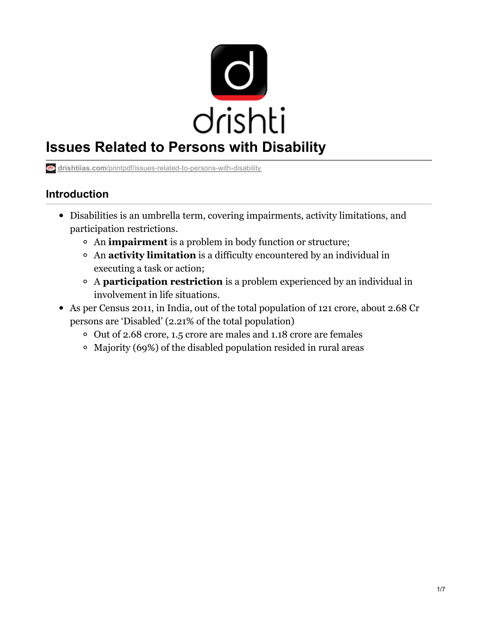

# **Issues Related to Persons with Disability**

**drishtiias.com**[/printpdf/issues-related-to-persons-with-disability](https://www.drishtiias.com/printpdf/issues-related-to-persons-with-disability)

## **Introduction**

- Disabilities is an umbrella term, covering impairments, activity limitations, and participation restrictions.
	- An **impairment** is a problem in body function or structure;
	- An **activity limitation** is a difficulty encountered by an individual in executing a task or action;
	- A **participation restriction** is a problem experienced by an individual in involvement in life situations.
- As per Census 2011, in India, out of the total population of 121 crore, about 2.68 Cr persons are 'Disabled' (2.21% of the total population)
	- o Out of 2.68 crore, 1.5 crore are males and 1.18 crore are females
	- Majority (69%) of the disabled population resided in rural areas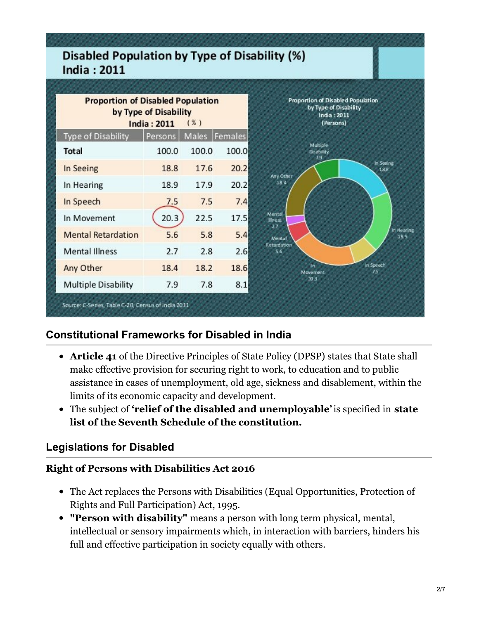# **Disabled Population by Type of Disability (%) India: 2011**

| <b>Proportion of Disabled Population</b><br>by Type of Disability<br>(%)<br><b>India: 2011</b> |         |       |               | Proportion of Disabled Population<br>by Type of Disability<br>India: 2011<br>(Persons) |
|------------------------------------------------------------------------------------------------|---------|-------|---------------|----------------------------------------------------------------------------------------|
| <b>Type of Disability</b>                                                                      | Persons |       | Males Females |                                                                                        |
| <b>Total</b>                                                                                   | 100.0   | 100.0 | 100.0         | Multiple<br>Disability<br>79                                                           |
| In Seeing                                                                                      | 18.8    | 17.6  | 20.2          | in Seeing<br>18.8<br>Any Other<br>18.4                                                 |
| In Hearing                                                                                     | 18.9    | 17.9  | 20.2          |                                                                                        |
| In Speech                                                                                      | 7.5     | 7.5   | 7.4           |                                                                                        |
| In Movement                                                                                    | 20.3    | 22.5  | 17.5          | Mental<br><b>Eness</b>                                                                 |
| <b>Mental Retardation</b>                                                                      | 5.6     | 5.8   | 5.4           | 27<br>In Hearing<br>189<br>Mental                                                      |
| <b>Mental Illness</b>                                                                          | 2.7     | 2.8   | 2.6           | Retardation<br>5.6                                                                     |
| Any Other                                                                                      | 18.4    | 18.2  | 18.6          | In Speech<br>ăп<br>75<br>Movement                                                      |
| <b>Multiple Disability</b>                                                                     | 7.9     | 7.8   | 8.1           | 20.3                                                                                   |

# **Constitutional Frameworks for Disabled in India**

- **Article 41** of the Directive Principles of State Policy (DPSP) states that State shall make effective provision for securing right to work, to education and to public assistance in cases of unemployment, old age, sickness and disablement, within the limits of its economic capacity and development.
- The subject of **'relief of the disabled and unemployable'** is specified in **state list of the Seventh Schedule of the constitution.**

#### **Legislations for Disabled**

#### **Right of Persons with Disabilities Act 2016**

- The Act replaces the Persons with Disabilities (Equal Opportunities, Protection of Rights and Full Participation) Act, 1995.
- **"Person with disability"** means a person with long term physical, mental, intellectual or sensory impairments which, in interaction with barriers, hinders his full and effective participation in society equally with others.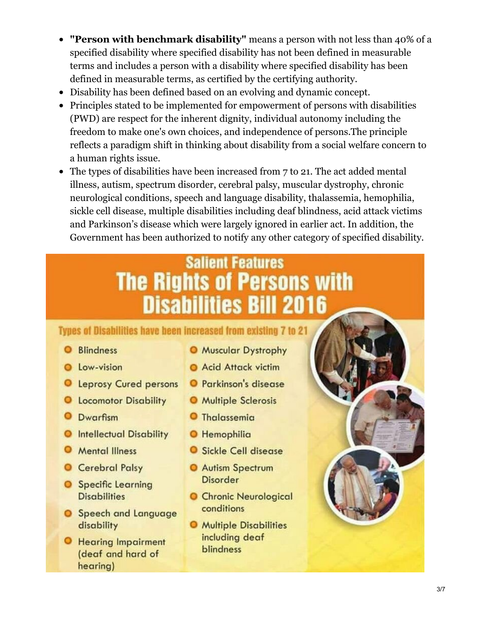- **"Person with benchmark disability"** means a person with not less than 40% of a  $\bullet$ specified disability where specified disability has not been defined in measurable terms and includes a person with a disability where specified disability has been defined in measurable terms, as certified by the certifying authority.
- Disability has been defined based on an evolving and dynamic concept.
- Principles stated to be implemented for empowerment of persons with disabilities (PWD) are respect for the inherent dignity, individual autonomy including the freedom to make one's own choices, and independence of persons.The principle reflects a paradigm shift in thinking about disability from a social welfare concern to a human rights issue.
- The types of disabilities have been increased from 7 to 21. The act added mental illness, autism, spectrum disorder, cerebral palsy, muscular dystrophy, chronic neurological conditions, speech and language disability, thalassemia, hemophilia, sickle cell disease, multiple disabilities including deaf blindness, acid attack victims and Parkinson's disease which were largely ignored in earlier act. In addition, the Government has been authorized to notify any other category of specified disability.

# **Salient Features The Rights of Persons with Disabilities Bill 2016**

## Types of Disabilities have been increased from existing 7 to 21

- **O** Blindness
- **Q** Low-vision
- O Leprosy Cured persons O Parkinson's disease
- **O** Locomotor Disability
- **O** Dwarfism
- **O** Intellectual Disability
- **O** Mental Illness
- Cerebral Palsy
- **O** Specific Learning **Disabilities**
- **O** Speech and Language disability
- **O** Hearing Impairment (deaf and hard of hearing)
- **O** Muscular Dystrophy
- Acid Attack victim
- 
- **O** Multiple Sclerosis
- **O** Thalassemia
- **O** Hemophilia
- **O** Sickle Cell disease
- **O** Autism Spectrum **Disorder**
- **O** Chronic Neurological conditions
- **O** Multiple Disabilities including deaf blindness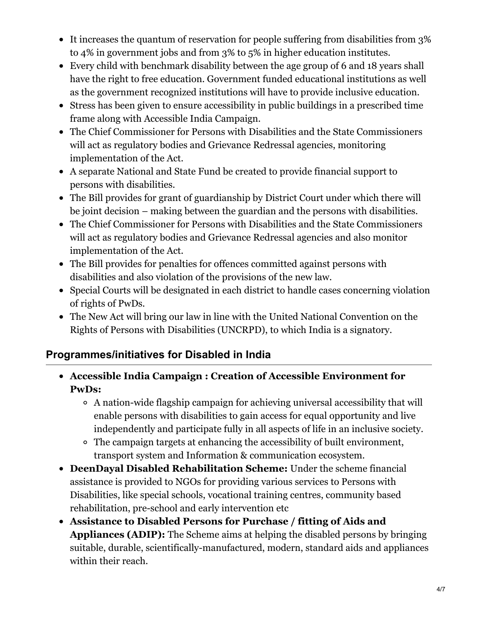- It increases the quantum of reservation for people suffering from disabilities from 3% to 4% in government jobs and from 3% to 5% in higher education institutes.
- Every child with benchmark disability between the age group of 6 and 18 years shall have the right to free education. Government funded educational institutions as well as the government recognized institutions will have to provide inclusive education.
- Stress has been given to ensure accessibility in public buildings in a prescribed time frame along with Accessible India Campaign.
- The Chief Commissioner for Persons with Disabilities and the State Commissioners will act as regulatory bodies and Grievance Redressal agencies, monitoring implementation of the Act.
- A separate National and State Fund be created to provide financial support to persons with disabilities.
- The Bill provides for grant of guardianship by District Court under which there will be joint decision – making between the guardian and the persons with disabilities.
- The Chief Commissioner for Persons with Disabilities and the State Commissioners will act as regulatory bodies and Grievance Redressal agencies and also monitor implementation of the Act.
- The Bill provides for penalties for offences committed against persons with disabilities and also violation of the provisions of the new law.
- Special Courts will be designated in each district to handle cases concerning violation of rights of PwDs.
- The New Act will bring our law in line with the United National Convention on the Rights of Persons with Disabilities (UNCRPD), to which India is a signatory.

## **Programmes/initiatives for Disabled in India**

- **Accessible India Campaign : Creation of Accessible Environment for PwDs:**
	- A nation-wide flagship campaign for achieving universal accessibility that will enable persons with disabilities to gain access for equal opportunity and live independently and participate fully in all aspects of life in an inclusive society.
	- The campaign targets at enhancing the accessibility of built environment, transport system and Information & communication ecosystem.
- **DeenDayal Disabled Rehabilitation Scheme:** Under the scheme financial assistance is provided to NGOs for providing various services to Persons with Disabilities, like special schools, vocational training centres, community based rehabilitation, pre-school and early intervention etc
- **Assistance to Disabled Persons for Purchase / fitting of Aids and Appliances (ADIP):** The Scheme aims at helping the disabled persons by bringing suitable, durable, scientifically-manufactured, modern, standard aids and appliances within their reach.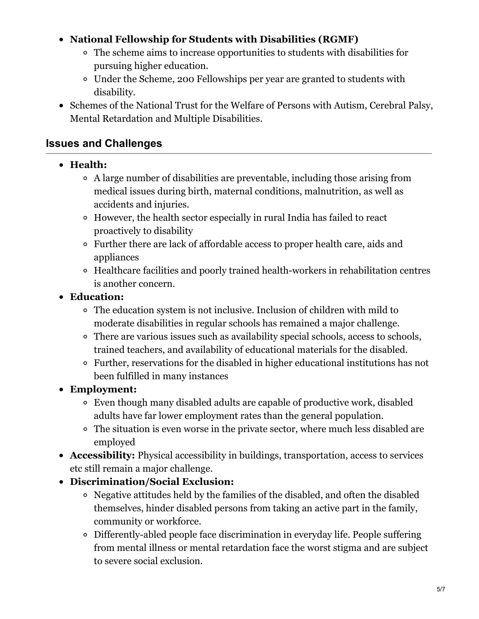#### **National Fellowship for Students with Disabilities (RGMF)**

- The scheme aims to increase opportunities to students with disabilities for pursuing higher education.
- Under the Scheme, 200 Fellowships per year are granted to students with disability.
- Schemes of the National Trust for the Welfare of Persons with Autism, Cerebral Palsy, Mental Retardation and Multiple Disabilities.

#### **Issues and Challenges**

- **Health:**
	- A large number of disabilities are preventable, including those arising from medical issues during birth, maternal conditions, malnutrition, as well as accidents and injuries.
	- However, the health sector especially in rural India has failed to react proactively to disability
	- Further there are lack of affordable access to proper health care, aids and appliances
	- Healthcare facilities and poorly trained health-workers in rehabilitation centres is another concern.

#### **Education:**

- The education system is not inclusive. Inclusion of children with mild to moderate disabilities in regular schools has remained a major challenge.
- There are various issues such as availability special schools, access to schools, trained teachers, and availability of educational materials for the disabled.
- Further, reservations for the disabled in higher educational institutions has not been fulfilled in many instances
- **Employment:**
	- Even though many disabled adults are capable of productive work, disabled adults have far lower employment rates than the general population.
	- The situation is even worse in the private sector, where much less disabled are employed
- **Accessibility:** Physical accessibility in buildings, transportation, access to services etc still remain a major challenge.
- **Discrimination/Social Exclusion:**
	- Negative attitudes held by the families of the disabled, and often the disabled themselves, hinder disabled persons from taking an active part in the family, community or workforce.
	- Differently-abled people face discrimination in everyday life. People suffering from mental illness or mental retardation face the worst stigma and are subject to severe social exclusion.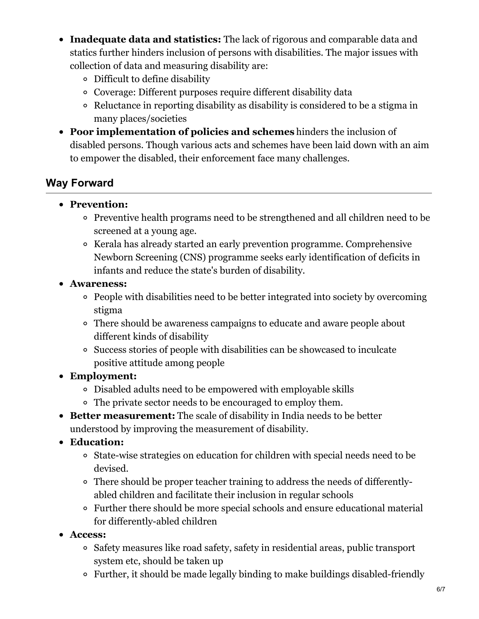- **Inadequate data and statistics:** The lack of rigorous and comparable data and statics further hinders inclusion of persons with disabilities. The major issues with collection of data and measuring disability are:
	- Difficult to define disability
	- Coverage: Different purposes require different disability data
	- Reluctance in reporting disability as disability is considered to be a stigma in many places/societies
- **Poor implementation of policies and schemes** hinders the inclusion of disabled persons. Though various acts and schemes have been laid down with an aim to empower the disabled, their enforcement face many challenges.

# **Way Forward**

- **Prevention:**
	- Preventive health programs need to be strengthened and all children need to be screened at a young age.
	- <sup>o</sup> Kerala has already started an early prevention programme. Comprehensive Newborn Screening (CNS) programme seeks early identification of deficits in infants and reduce the state's burden of disability.
- **Awareness:**
	- People with disabilities need to be better integrated into society by overcoming stigma
	- There should be awareness campaigns to educate and aware people about different kinds of disability
	- Success stories of people with disabilities can be showcased to inculcate positive attitude among people
- **Employment:**
	- Disabled adults need to be empowered with employable skills
	- The private sector needs to be encouraged to employ them.
- **Better measurement:** The scale of disability in India needs to be better understood by improving the measurement of disability.
- **Education:**
	- State-wise strategies on education for children with special needs need to be devised.
	- There should be proper teacher training to address the needs of differentlyabled children and facilitate their inclusion in regular schools
	- Further there should be more special schools and ensure educational material for differently-abled children
- **Access:**
	- Safety measures like road safety, safety in residential areas, public transport system etc, should be taken up
	- Further, it should be made legally binding to make buildings disabled-friendly